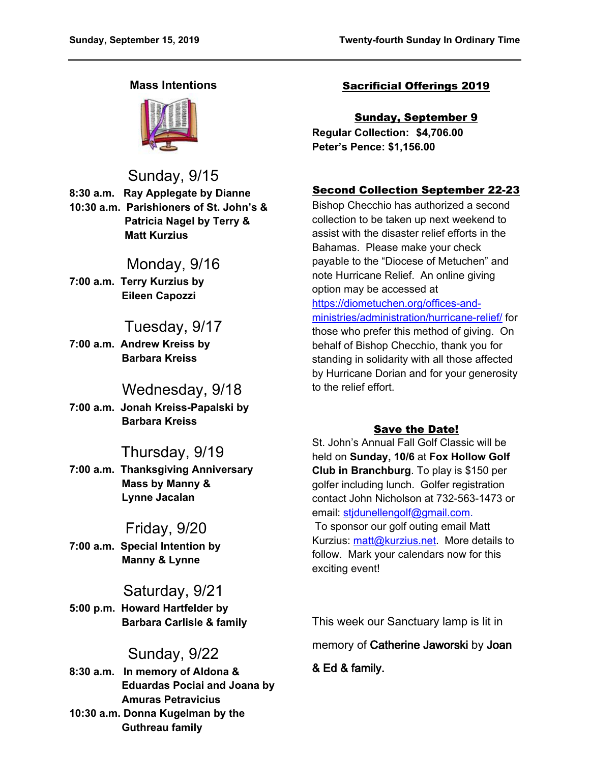## **Mass Intentions**



Sunday, 9/15

**8:30 a.m. Ray Applegate by Dianne 10:30 a.m. Parishioners of St. John's & Patricia Nagel by Terry & Matt Kurzius**

# Monday, 9/16

**7:00 a.m. Terry Kurzius by Eileen Capozzi**

# Tuesday, 9/17

**7:00 a.m. Andrew Kreiss by Barbara Kreiss**

# Wednesday, 9/18

**7:00 a.m. Jonah Kreiss-Papalski by Barbara Kreiss**

# Thursday, 9/19

**7:00 a.m. Thanksgiving Anniversary Mass by Manny & Lynne Jacalan**

# Friday, 9/20

**7:00 a.m. Special Intention by Manny & Lynne**

# Saturday, 9/21

**5:00 p.m. Howard Hartfelder by Barbara Carlisle & family**

# Sunday, 9/22

**8:30 a.m. In memory of Aldona & Eduardas Pociai and Joana by Amuras Petravicius 10:30 a.m. Donna Kugelman by the Guthreau family**

## Sacrificial Offerings 2019

Sunday, September 9 **Regular Collection: \$4,706.00 Peter's Pence: \$1,156.00**

## Second Collection September 22-23

Bishop Checchio has authorized a second collection to be taken up next weekend to assist with the disaster relief efforts in the Bahamas. Please make your check payable to the "Diocese of Metuchen" and note Hurricane Relief. An online giving option may be accessed at [https://diometuchen.org/offices-and](https://diometuchen.org/offices-and-ministries/administration/hurricane-relief/)[ministries/administration/hurricane-relief/](https://diometuchen.org/offices-and-ministries/administration/hurricane-relief/) for those who prefer this method of giving. On behalf of Bishop Checchio, thank you for standing in solidarity with all those affected by Hurricane Dorian and for your generosity to the relief effort.

### Save the Date!

St. John's Annual Fall Golf Classic will be held on **Sunday, 10/6** at **Fox Hollow Golf Club in Branchburg**. To play is \$150 per golfer including lunch. Golfer registration contact John Nicholson at 732-563-1473 or email: [stjdunellengolf@gmail.com](mailto:stjdunellengolf@gmail.com).

To sponsor our golf outing email Matt Kurzius: [matt@kurzius.net.](mailto:matt@kurzius.net) More details to follow. Mark your calendars now for this exciting event!

This week our Sanctuary lamp is lit in memory of **Catherine Jaworski** by **Joan** 

**& Ed & family.**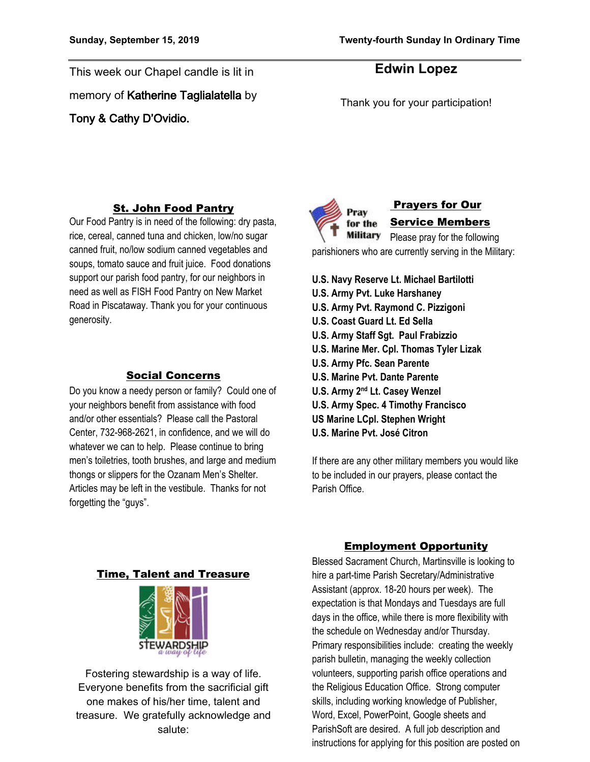This week our Chapel candle is lit in memory of **Katherine Taglialatella** by **Tony & Cathy D'Ovidio.** 

## **Edwin Lopez**

Thank you for your participation!

#### St. John Food Pantry

Our Food Pantry is in need of the following: dry pasta, rice, cereal, canned tuna and chicken, low/no sugar canned fruit, no/low sodium canned vegetables and soups, tomato sauce and fruit juice. Food donations support our parish food pantry, for our neighbors in need as well as FISH Food Pantry on New Market Road in Piscataway. Thank you for your continuous generosity.

#### Social Concerns

Do you know a needy person or family? Could one of your neighbors benefit from assistance with food and/or other essentials? Please call the Pastoral Center, 732-968-2621, in confidence, and we will do whatever we can to help. Please continue to bring men's toiletries, tooth brushes, and large and medium thongs or slippers for the Ozanam Men's Shelter. Articles may be left in the vestibule. Thanks for not forgetting the "guys".



 Prayers for Our Service Members

**Military** Please pray for the following parishioners who are currently serving in the Military:

**U.S. Navy Reserve Lt. Michael Bartilotti U.S. Army Pvt. Luke Harshaney U.S. Army Pvt. Raymond C. Pizzigoni U.S. Coast Guard Lt. Ed Sella U.S. Army Staff Sgt. Paul Frabizzio U.S. Marine Mer. Cpl. Thomas Tyler Lizak U.S. Army Pfc. Sean Parente U.S. Marine Pvt. Dante Parente U.S. Army 2nd Lt. Casey Wenzel U.S. Army Spec. 4 Timothy Francisco US Marine LCpl. Stephen Wright U.S. Marine Pvt. José Citron**

If there are any other military members you would like to be included in our prayers, please contact the Parish Office.

#### Time, Talent and Treasure



Fostering stewardship is a way of life. Everyone benefits from the sacrificial gift one makes of his/her time, talent and treasure. We gratefully acknowledge and salute:

#### Employment Opportunity

Blessed Sacrament Church, Martinsville is looking to hire a part-time Parish Secretary/Administrative Assistant (approx. 18-20 hours per week). The expectation is that Mondays and Tuesdays are full days in the office, while there is more flexibility with the schedule on Wednesday and/or Thursday. Primary responsibilities include: creating the weekly parish bulletin, managing the weekly collection volunteers, supporting parish office operations and the Religious Education Office. Strong computer skills, including working knowledge of Publisher, Word, Excel, PowerPoint, Google sheets and ParishSoft are desired. A full job description and instructions for applying for this position are posted on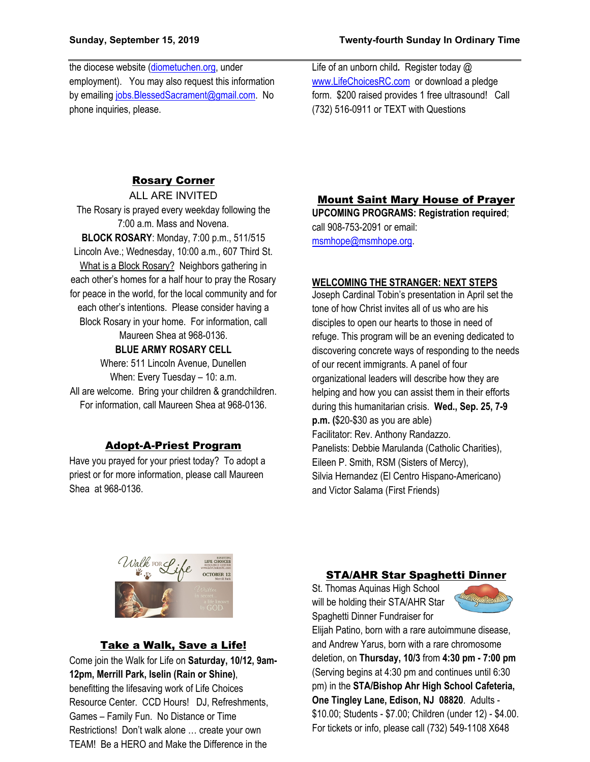the diocese website ([diometuchen.org,](http://www.diometuchen.org/) under employment). You may also request this information by emailing [jobs.BlessedSacrament@gmail.com](mailto:jobs.BlessedSacrament@gmail.com). No phone inquiries, please.

Life of an unborn child*.* Register today @ [www.LifeChoicesRC.com](http://www.lifechoicesrc.com/) or download a pledge form. \$200 raised provides 1 free ultrasound!Call (732) 516-0911 or TEXT with Questions

### Rosary Corner

ALL ARE INVITED The Rosary is prayed every weekday following the 7:00 a.m. Mass and Novena. **BLOCK ROSARY**: Monday, 7:00 p.m., 511/515 Lincoln Ave.; Wednesday, 10:00 a.m., 607 Third St. What is a Block Rosary? Neighbors gathering in each other's homes for a half hour to pray the Rosary for peace in the world, for the local community and for each other's intentions. Please consider having a Block Rosary in your home. For information, call Maureen Shea at 968-0136. **BLUE ARMY ROSARY CELL**

Where: 511 Lincoln Avenue, Dunellen When: Every Tuesday - 10: a.m. All are welcome. Bring your children & grandchildren. For information, call Maureen Shea at 968-0136.

#### Adopt-A-Priest Program

Have you prayed for your priest today? To adopt a priest or for more information, please call Maureen Shea at 968-0136.

#### Mount Saint Mary House of Prayer

**UPCOMING PROGRAMS: Registration required**; call 908-753-2091 or email: [msmhope@msmhope.org.](mailto:msmhope@msmhope.org)

#### **WELCOMING THE STRANGER: NEXT STEPS**

Joseph Cardinal Tobin's presentation in April set the tone of how Christ invites all of us who are his disciples to open our hearts to those in need of refuge. This program will be an evening dedicated to discovering concrete ways of responding to the needs of our recent immigrants. A panel of four organizational leaders will describe how they are helping and how you can assist them in their efforts during this humanitarian crisis. **Wed., Sep. 25, 7-9 p.m. (**\$20-\$30 as you are able) Facilitator: Rev. Anthony Randazzo. Panelists: Debbie Marulanda (Catholic Charities), Eileen P. Smith, RSM (Sisters of Mercy), Silvia Hernandez (El Centro Hispano-Americano) and Victor Salama (First Friends)



#### Take a Walk, Save a Life!

Come join the Walk for Life on **Saturday, 10/12, 9am-12pm, Merrill Park, Iselin (Rain or Shine)**, benefitting the lifesaving work of Life Choices Resource Center. CCD Hours! DJ, Refreshments, Games – Family Fun. No Distance or Time Restrictions! Don't walk alone … create your own TEAM! Be a HERO and Make the Difference in the

#### STA/AHR Star Spaghetti Dinner

St. Thomas Aquinas High School will be holding their STA/AHR Star Spaghetti Dinner Fundraiser for



Elijah Patino, born with a rare autoimmune disease, and Andrew Yarus, born with a rare chromosome deletion, on **Thursday, 10/3** from **4:30 pm - 7:00 pm** (Serving begins at 4:30 pm and continues until 6:30 pm) in the **STA/Bishop Ahr High School Cafeteria, One Tingley Lane, Edison, NJ 08820**. Adults - \$10.00; Students - \$7.00; Children (under 12) - \$4.00. For tickets or info, please call (732) 549-1108 X648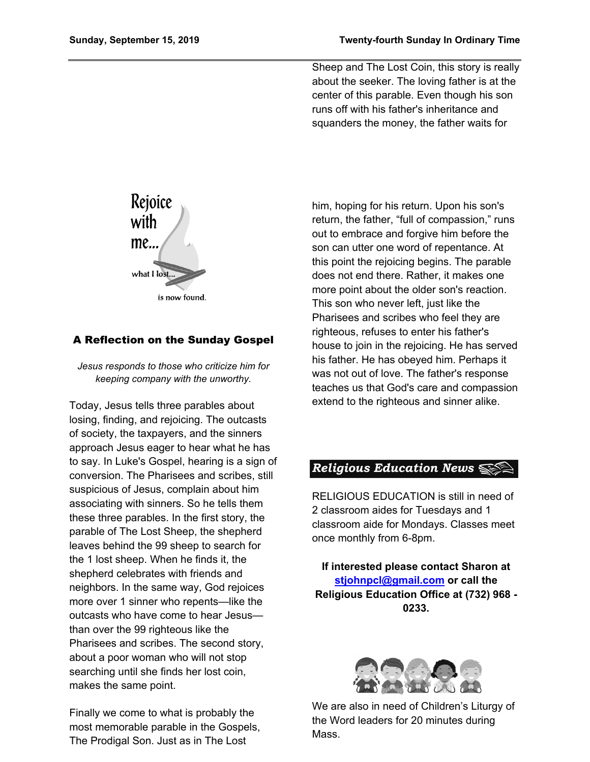Sheep and The Lost Coin, this story is really about the seeker. The loving father is at the center of this parable. Even though his son runs off with his father's inheritance and squanders the money, the father waits for



### A Reflection on the Sunday Gospel

*Jesus responds to those who criticize him for keeping company with the unworthy.*

Today, Jesus tells three parables about losing, finding, and rejoicing. The outcasts of society, the taxpayers, and the sinners approach Jesus eager to hear what he has to say. In Luke's Gospel, hearing is a sign of conversion. The Pharisees and scribes, still suspicious of Jesus, complain about him associating with sinners. So he tells them these three parables. In the first story, the parable of The Lost Sheep, the shepherd leaves behind the 99 sheep to search for the 1 lost sheep. When he finds it, the shepherd celebrates with friends and neighbors. In the same way, God rejoices more over 1 sinner who repents—like the outcasts who have come to hear Jesus than over the 99 righteous like the Pharisees and scribes. The second story, about a poor woman who will not stop searching until she finds her lost coin, makes the same point.

Finally we come to what is probably the most memorable parable in the Gospels, The Prodigal Son. Just as in The Lost

him, hoping for his return. Upon his son's return, the father, "full of compassion," runs out to embrace and forgive him before the son can utter one word of repentance. At this point the rejoicing begins. The parable does not end there. Rather, it makes one more point about the older son's reaction. This son who never left, just like the Pharisees and scribes who feel they are righteous, refuses to enter his father's house to join in the rejoicing. He has served his father. He has obeyed him. Perhaps it was not out of love. The father's response teaches us that God's care and compassion extend to the righteous and sinner alike.

## **Religious Education News**  $\leqslant$

RELIGIOUS EDUCATION is still in need of 2 classroom aides for Tuesdays and 1 classroom aide for Mondays. Classes meet once monthly from 6-8pm.

**If interested please contact Sharon at [stjohnpcl@gmail.com](mailto:stjohnpcl@gmail.com) or call the Religious Education Office at (732) 968 - 0233.**



We are also in need of Children's Liturgy of the Word leaders for 20 minutes during Mass.